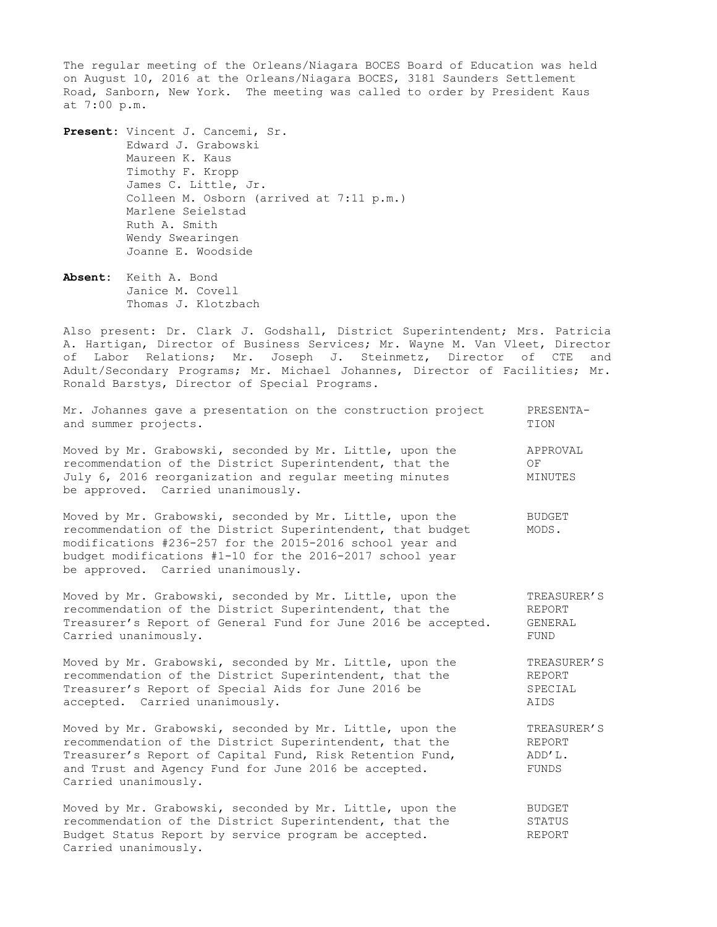The regular meeting of the Orleans/Niagara BOCES Board of Education was held on August 10, 2016 at the Orleans/Niagara BOCES, 3181 Saunders Settlement Road, Sanborn, New York. The meeting was called to order by President Kaus at 7:00 p.m.

**Present:** Vincent J. Cancemi, Sr. Edward J. Grabowski Maureen K. Kaus Timothy F. Kropp James C. Little, Jr. Colleen M. Osborn (arrived at 7:11 p.m.) Marlene Seielstad Ruth A. Smith Wendy Swearingen Joanne E. Woodside

**Absent:** Keith A. Bond Janice M. Covell Thomas J. Klotzbach

Also present: Dr. Clark J. Godshall, District Superintendent; Mrs. Patricia A. Hartigan, Director of Business Services; Mr. Wayne M. Van Vleet, Director of Labor Relations; Mr. Joseph J. Steinmetz, Director of CTE and Adult/Secondary Programs; Mr. Michael Johannes, Director of Facilities; Mr. Ronald Barstys, Director of Special Programs.

| Mr. Johannes gave a presentation on the construction project<br>and summer projects.                                                                                                                                                                                                | PRESENTA-<br>TION                        |
|-------------------------------------------------------------------------------------------------------------------------------------------------------------------------------------------------------------------------------------------------------------------------------------|------------------------------------------|
| Moved by Mr. Grabowski, seconded by Mr. Little, upon the<br>recommendation of the District Superintendent, that the<br>July 6, 2016 reorganization and regular meeting minutes<br>be approved. Carried unanimously.                                                                 | APPROVAL<br>OF<br>MINUTES                |
| Moved by Mr. Grabowski, seconded by Mr. Little, upon the<br>recommendation of the District Superintendent, that budget<br>modifications #236-257 for the 2015-2016 school year and<br>budget modifications #1-10 for the 2016-2017 school year<br>be approved. Carried unanimously. | <b>BUDGET</b><br>MODS.                   |
| Moved by Mr. Grabowski, seconded by Mr. Little, upon the<br>recommendation of the District Superintendent, that the<br>Treasurer's Report of General Fund for June 2016 be accepted.<br>Carried unanimously.                                                                        | TREASURER'S<br>REPORT<br>GENERAL<br>FUND |
| Moved by Mr. Grabowski, seconded by Mr. Little, upon the<br>recommendation of the District Superintendent, that the<br>Treasurer's Report of Special Aids for June 2016 be<br>accepted. Carried unanimously.                                                                        | TREASURER'S<br>REPORT<br>SPECIAL<br>AIDS |
| Moved by Mr. Grabowski, seconded by Mr. Little, upon the<br>recommendation of the District Superintendent, that the<br>Treasurer's Report of Capital Fund, Risk Retention Fund,<br>and Trust and Agency Fund for June 2016 be accepted.<br>Carried unanimously.                     | TREASURER'S<br>REPORT<br>ADD'L.<br>FUNDS |
| Moved by Mr. Grabowski, seconded by Mr. Little, upon the<br>recommendation of the District Superintendent, that the<br>Budget Status Report by service program be accepted.<br>Carried unanimously.                                                                                 | <b>BUDGET</b><br>STATUS<br><b>REPORT</b> |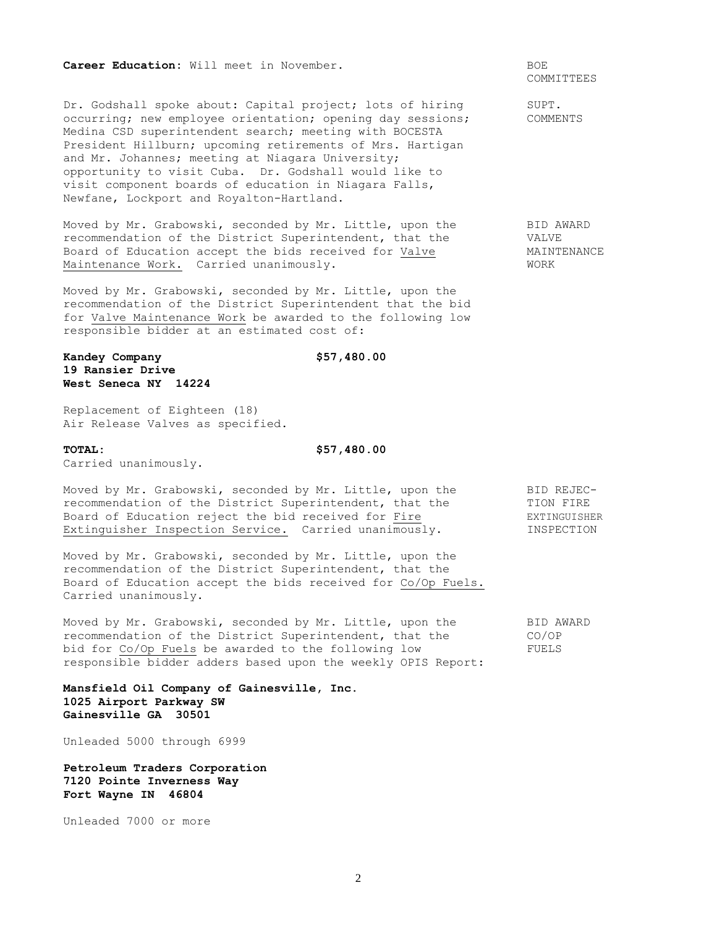### **Career Education:** Will meet in November. **BOE**

Dr. Godshall spoke about: Capital project; lots of hiring SUPT. occurring; new employee orientation; opening day sessions; COMMENTS Medina CSD superintendent search; meeting with BOCESTA President Hillburn; upcoming retirements of Mrs. Hartigan and Mr. Johannes; meeting at Niagara University; opportunity to visit Cuba. Dr. Godshall would like to visit component boards of education in Niagara Falls, Newfane, Lockport and Royalton-Hartland.

Moved by Mr. Grabowski, seconded by Mr. Little, upon the BID AWARD recommendation of the District Superintendent, that the VALVE Board of Education accept the bids received for Valve MAINTENANCE Maintenance Work. Carried unanimously. The main term of the WORK

Moved by Mr. Grabowski, seconded by Mr. Little, upon the recommendation of the District Superintendent that the bid for Valve Maintenance Work be awarded to the following low responsible bidder at an estimated cost of:

# **Kandey Company \$57,480.00 19 Ransier Drive West Seneca NY 14224**

Replacement of Eighteen (18) Air Release Valves as specified.

**TOTAL: \$57,480.00** 

Carried unanimously.

| Moved by Mr. Grabowski, seconded by Mr. Little, upon the | BID REJEC-   |
|----------------------------------------------------------|--------------|
| recommendation of the District Superintendent, that the  | TION FIRE    |
| Board of Education reject the bid received for Fire      | EXTINGUISHER |
| Extinguisher Inspection Service. Carried unanimously.    | INSPECTION   |

Moved by Mr. Grabowski, seconded by Mr. Little, upon the recommendation of the District Superintendent, that the Board of Education accept the bids received for Co/Op Fuels. Carried unanimously.

Moved by Mr. Grabowski, seconded by Mr. Little, upon the BID AWARD recommendation of the District Superintendent, that the CO/OP bid for Co/Op Fuels be awarded to the following low FUELS responsible bidder adders based upon the weekly OPIS Report:

**Mansfield Oil Company of Gainesville, Inc. 1025 Airport Parkway SW Gainesville GA 30501**

Unleaded 5000 through 6999

**Petroleum Traders Corporation 7120 Pointe Inverness Way Fort Wayne IN 46804**

Unleaded 7000 or more

COMMITTEES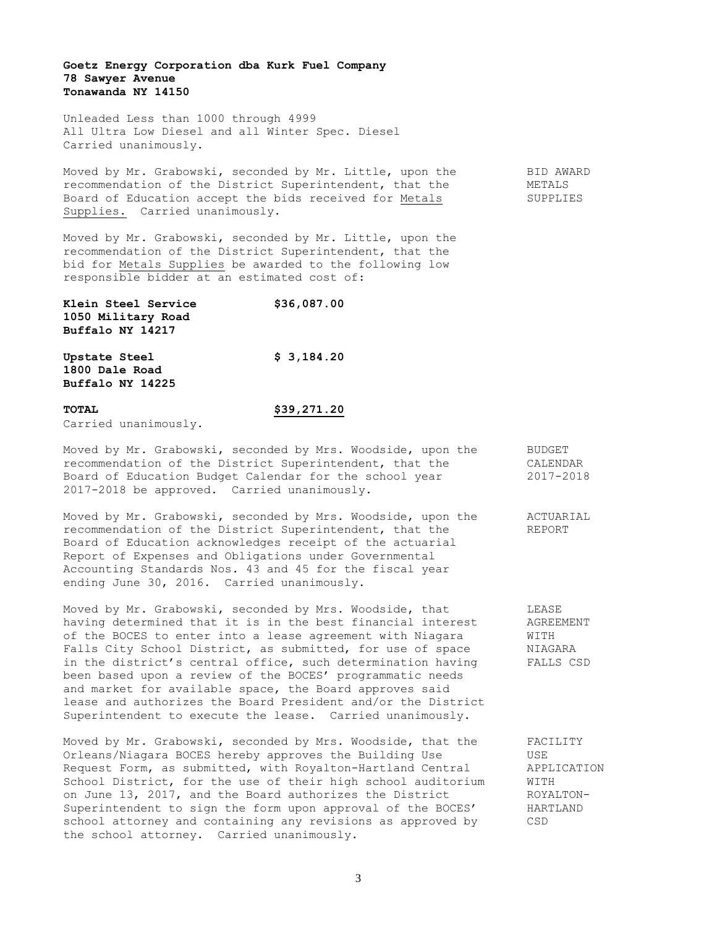## **Goetz Energy Corporation dba Kurk Fuel Company 78 Sawyer Avenue Tonawanda NY 14150**

Unleaded Less than 1000 through 4999 All Ultra Low Diesel and all Winter Spec. Diesel Carried unanimously.

Moved by Mr. Grabowski, seconded by Mr. Little, upon the BID AWARD recommendation of the District Superintendent, that the METALS Board of Education accept the bids received for Metals SUPPLIES Supplies. Carried unanimously.

Moved by Mr. Grabowski, seconded by Mr. Little, upon the recommendation of the District Superintendent, that the bid for Metals Supplies be awarded to the following low responsible bidder at an estimated cost of:

| \$36,087.00 |
|-------------|
|             |
|             |
| \$3,184.20  |
|             |
|             |
|             |

### **TOTAL \$39,271.20**

Carried unanimously.

# Moved by Mr. Grabowski, seconded by Mrs. Woodside, upon the BUDGET recommendation of the District Superintendent, that the CALENDAR Board of Education Budget Calendar for the school year 2017-2018 2017-2018 be approved. Carried unanimously.

Moved by Mr. Grabowski, seconded by Mrs. Woodside, upon the ACTUARIAL recommendation of the District Superintendent, that the REPORT Board of Education acknowledges receipt of the actuarial Report of Expenses and Obligations under Governmental Accounting Standards Nos. 43 and 45 for the fiscal year ending June 30, 2016. Carried unanimously.

Moved by Mr. Grabowski, seconded by Mrs. Woodside, that LEASE having determined that it is in the best financial interest agREEMENT<br>of the BOCES to enter into a lease agreement with Niagara WITH of the BOCES to enter into a lease agreement with Niagara Falls City School District, as submitted, for use of space MIAGARA in the district's central office, such determination having FALLS CSD been based upon a review of the BOCES' programmatic needs and market for available space, the Board approves said lease and authorizes the Board President and/or the District Superintendent to execute the lease. Carried unanimously.

Moved by Mr. Grabowski, seconded by Mrs. Woodside, that the FACILITY Orleans/Niagara BOCES hereby approves the Building Use USE Request Form, as submitted, with Royalton-Hartland Central APPLICATION School District, for the use of their high school auditorium WITH on June 13, 2017, and the Board authorizes the District ROYALTON-Superintendent to sign the form upon approval of the BOCES' HARTLAND school attorney and containing any revisions as approved by CSD the school attorney. Carried unanimously.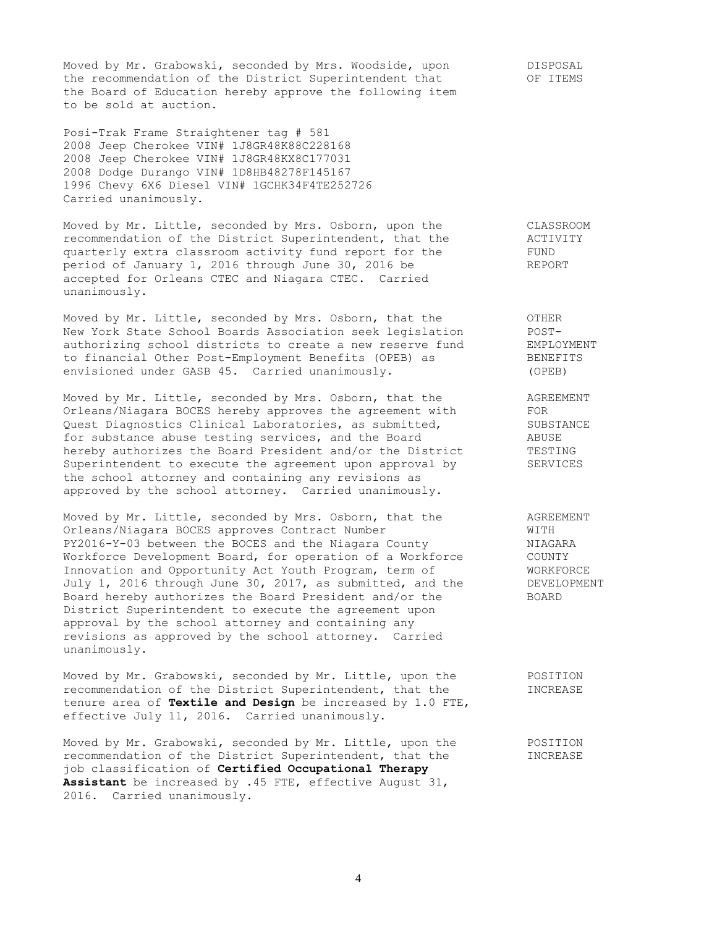Moved by Mr. Grabowski, seconded by Mrs. Woodside, upon DISPOSAL the recommendation of the District Superintendent that OF ITEMS the Board of Education hereby approve the following item to be sold at auction.

Posi-Trak Frame Straightener tag # 581 2008 Jeep Cherokee VIN# 1J8GR48K88C228168 2008 Jeep Cherokee VIN# 1J8GR48KX8C177031 2008 Dodge Durango VIN# 1D8HB48278F145167 1996 Chevy 6X6 Diesel VIN# 1GCHK34F4TE252726 Carried unanimously.

Moved by Mr. Little, seconded by Mrs. Osborn, upon the CLASSROOM recommendation of the District Superintendent, that the ACTIVITY quarterly extra classroom activity fund report for the FUND period of January 1, 2016 through June 30, 2016 be REPORT accepted for Orleans CTEC and Niagara CTEC. Carried unanimously.

Moved by Mr. Little, seconded by Mrs. Osborn, that the  $OTHER$ New York State School Boards Association seek legislation POST-<br>authorizing school districts to create a new reserve fund EMPLOYMENT authorizing school districts to create a new reserve fund EMPLOYMENT to financial Other Post-Employment Benefits (OPEB) as BENEFITS envisioned under GASB 45. Carried unanimously. (OPEB)

Moved by Mr. Little, seconded by Mrs. Osborn, that the AGREEMENT Orleans/Niagara BOCES hereby approves the agreement with FOR Orleans/Niagara BUCES nereby approves the agreements are  $\frac{1}{2}$  SUBSTANCE<br>Quest Diagnostics Clinical Laboratories, as submitted,  $\frac{1}{2}$  SUBSTANCE for substance abuse testing services, and the Board ABUSE hereby authorizes the Board President and/or the District TESTING Superintendent to execute the agreement upon approval by SERVICES the school attorney and containing any revisions as approved by the school attorney. Carried unanimously.

Moved by Mr. Little, seconded by Mrs. Osborn, that the AGREEMENT Orleans/Niagara BOCES approves Contract Number WITH PY2016-Y-03 between the BOCES and the Niagara County MIAGARA Workforce Development Board, for operation of a Workforce COUNTY Innovation and Opportunity Act Youth Program, term of WORKFORCE<br>July 1, 2016 through June 30, 2017, as submitted, and the DEVELOPMENT July 1, 2016 through June 30, 2017, as submitted, and the Board hereby authorizes the Board President and/or the BOARD District Superintendent to execute the agreement upon approval by the school attorney and containing any revisions as approved by the school attorney. Carried unanimously.

Moved by Mr. Grabowski, seconded by Mr. Little, upon the POSITION recommendation of the District Superintendent, that the INCREASE tenure area of **Textile and Design** be increased by 1.0 FTE, effective July 11, 2016. Carried unanimously.

Moved by Mr. Grabowski, seconded by Mr. Little, upon the TOSITION recommendation of the District Superintendent, that the **INCREASE** job classification of **Certified Occupational Therapy Assistant** be increased by .45 FTE, effective August 31, 2016. Carried unanimously.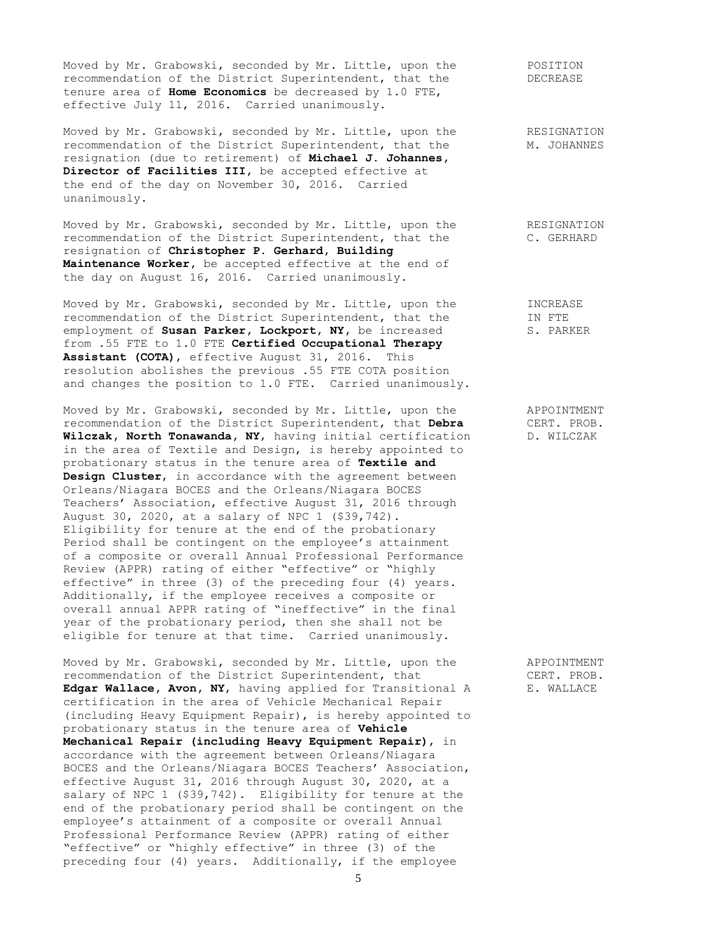Moved by Mr. Grabowski, seconded by Mr. Little, upon the POSITION recommendation of the District Superintendent, that the DECREASE tenure area of **Home Economics** be decreased by 1.0 FTE, effective July 11, 2016. Carried unanimously.

Moved by Mr. Grabowski, seconded by Mr. Little, upon the RESIGNATION recommendation of the District Superintendent, that the M. JOHANNES resignation (due to retirement) of **Michael J. Johannes, Director of Facilities III,** be accepted effective at the end of the day on November 30, 2016. Carried unanimously.

Moved by Mr. Grabowski, seconded by Mr. Little, upon the RESIGNATION recommendation of the District Superintendent, that the C. GERHARD resignation of **Christopher P. Gerhard, Building Maintenance Worker,** be accepted effective at the end of the day on August 16, 2016. Carried unanimously.

Moved by Mr. Grabowski, seconded by Mr. Little, upon the **INCREASE** recommendation of the District Superintendent, that the IN FTE employment of **Susan Parker, Lockport, NY,** be increased S. PARKER from .55 FTE to 1.0 FTE **Certified Occupational Therapy Assistant (COTA)**, effective August 31, 2016. This resolution abolishes the previous .55 FTE COTA position and changes the position to 1.0 FTE. Carried unanimously.

Moved by Mr. Grabowski, seconded by Mr. Little, upon the APPOINTMENT recommendation of the District Superintendent, that **Debra** CERT. PROB. **Wilczak, North Tonawanda, NY**, having initial certification D. WILCZAK in the area of Textile and Design, is hereby appointed to probationary status in the tenure area of **Textile and Design Cluster**, in accordance with the agreement between Orleans/Niagara BOCES and the Orleans/Niagara BOCES Teachers' Association, effective August 31, 2016 through August 30, 2020, at a salary of NPC 1 (\$39,742). Eligibility for tenure at the end of the probationary Period shall be contingent on the employee's attainment of a composite or overall Annual Professional Performance Review (APPR) rating of either "effective" or "highly effective" in three (3) of the preceding four (4) years. Additionally, if the employee receives a composite or overall annual APPR rating of "ineffective" in the final year of the probationary period, then she shall not be eligible for tenure at that time. Carried unanimously.

Moved by Mr. Grabowski, seconded by Mr. Little, upon the APPOINTMENT recommendation of the District Superintendent, that CERT. PROB. **Edgar Wallace, Avon, NY**, having applied for Transitional A E. WALLACE certification in the area of Vehicle Mechanical Repair (including Heavy Equipment Repair), is hereby appointed to probationary status in the tenure area of **Vehicle Mechanical Repair (including Heavy Equipment Repair)**, in accordance with the agreement between Orleans/Niagara BOCES and the Orleans/Niagara BOCES Teachers' Association, effective August 31, 2016 through August 30, 2020, at a salary of NPC 1 (\$39,742). Eligibility for tenure at the end of the probationary period shall be contingent on the employee's attainment of a composite or overall Annual Professional Performance Review (APPR) rating of either "effective" or "highly effective" in three (3) of the preceding four (4) years. Additionally, if the employee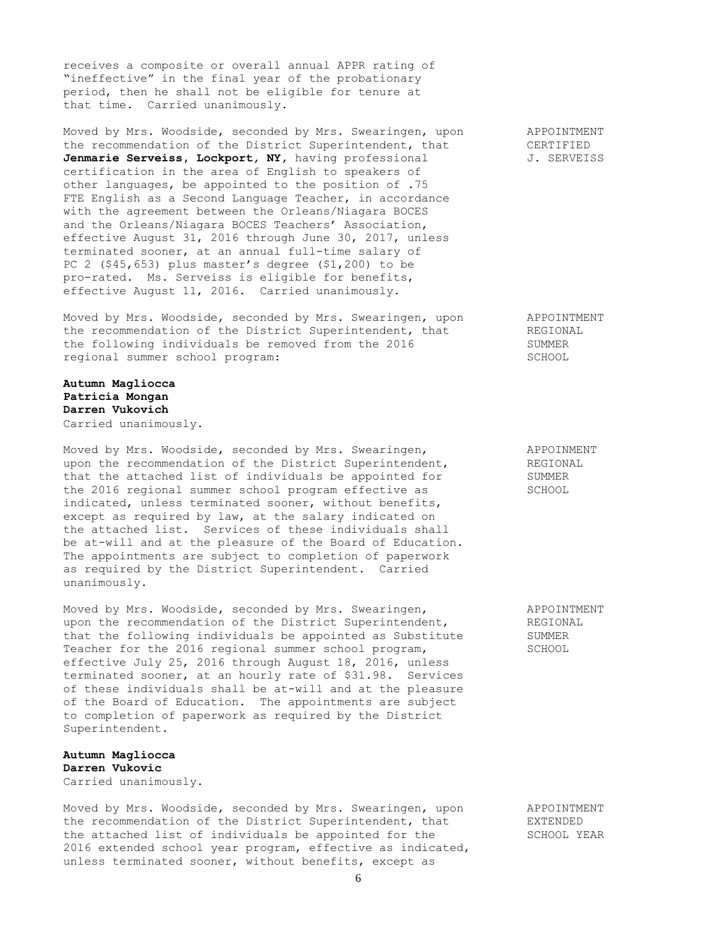receives a composite or overall annual APPR rating of "ineffective" in the final year of the probationary period, then he shall not be eligible for tenure at that time. Carried unanimously.

Moved by Mrs. Woodside, seconded by Mrs. Swearingen, upon APPOINTMENT the recommendation of the District Superintendent, that CERTIFIED Jenmarie Serveiss, Lockport, NY, having professional J. SERVEISS certification in the area of English to speakers of other languages, be appointed to the position of .75 FTE English as a Second Language Teacher, in accordance with the agreement between the Orleans/Niagara BOCES and the Orleans/Niagara BOCES Teachers' Association, effective August 31, 2016 through June 30, 2017, unless terminated sooner, at an annual full-time salary of PC 2 (\$45,653) plus master's degree (\$1,200) to be pro-rated. Ms. Serveiss is eligible for benefits, effective August 11, 2016. Carried unanimously.

Moved by Mrs. Woodside, seconded by Mrs. Swearingen, upon APPOINTMENT the recommendation of the District Superintendent, that **REGIONAL** the following individuals be removed from the 2016 SUMMER regional summer school program: SCHOOL

## **Autumn Magliocca Patricia Mongan Darren Vukovich** Carried unanimously.

Moved by Mrs. Woodside, seconded by Mrs. Swearingen, APPOINMENT upon the recommendation of the District Superintendent, REGIONAL<br>that the attached list of individuals be appointed for SUMMER that the attached list of individuals be appointed for the 2016 regional summer school program effective as SCHOOL indicated, unless terminated sooner, without benefits, except as required by law, at the salary indicated on the attached list. Services of these individuals shall be at-will and at the pleasure of the Board of Education. The appointments are subject to completion of paperwork as required by the District Superintendent. Carried unanimously.

Moved by Mrs. Woodside, seconded by Mrs. Swearingen, The MapPOINTMENT upon the recommendation of the District Superintendent, REGIONAL that the following individuals be appointed as Substitute SUMMER Teacher for the 2016 regional summer school program, SCHOOL effective July 25, 2016 through August 18, 2016, unless terminated sooner, at an hourly rate of \$31.98. Services of these individuals shall be at-will and at the pleasure of the Board of Education. The appointments are subject to completion of paperwork as required by the District Superintendent.

## **Autumn Magliocca Darren Vukovic** Carried unanimously.

Moved by Mrs. Woodside, seconded by Mrs. Swearingen, upon APPOINTMENT the recommendation of the District Superintendent, that EXTENDED the attached list of individuals be appointed for the SCHOOL YEAR 2016 extended school year program, effective as indicated, unless terminated sooner, without benefits, except as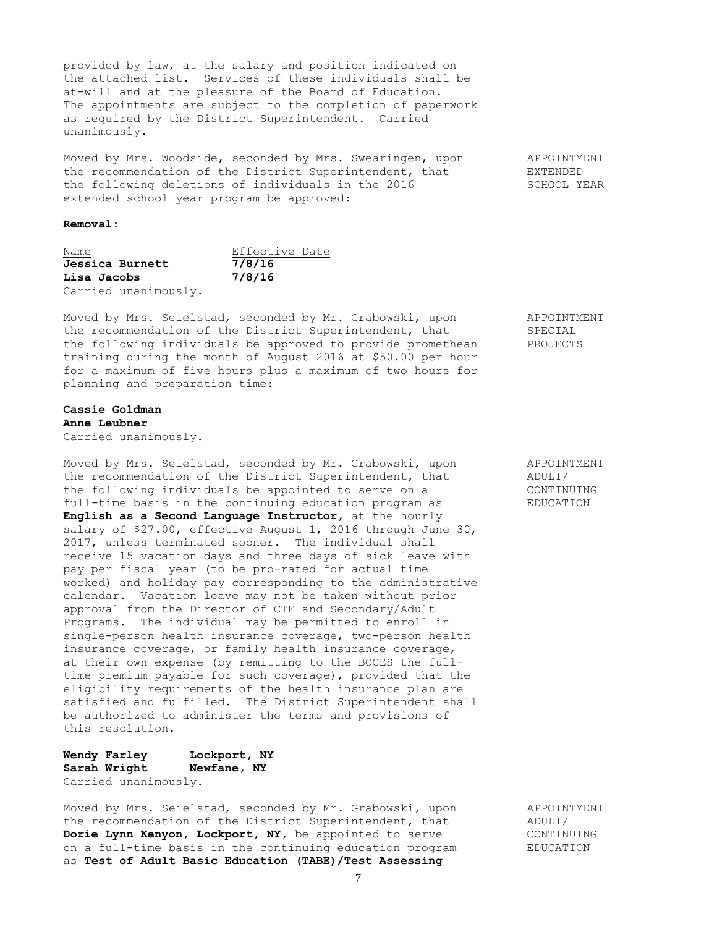provided by law, at the salary and position indicated on the attached list. Services of these individuals shall be at-will and at the pleasure of the Board of Education. The appointments are subject to the completion of paperwork as required by the District Superintendent. Carried unanimously.

Moved by Mrs. Woodside, seconded by Mrs. Swearingen, upon appoint APPOINTMENT the recommendation of the District Superintendent, that EXTENDED the following deletions of individuals in the 2016 SCHOOL YEAR extended school year program be approved:

#### **Removal:**

| Name                 |  | Effective Date |  |
|----------------------|--|----------------|--|
| Jessica Burnett      |  | 7/8/16         |  |
| Lisa Jacobs          |  | 7/8/16         |  |
| Carried unanimously. |  |                |  |

Moved by Mrs. Seielstad, seconded by Mr. Grabowski, upon APPOINTMENT the recommendation of the District Superintendent, that SPECIAL the following individuals be approved to provide promethean PROJECTS training during the month of August 2016 at \$50.00 per hour for a maximum of five hours plus a maximum of two hours for planning and preparation time:

#### **Cassie Goldman Anne Leubner**

Carried unanimously.

Moved by Mrs. Seielstad, seconded by Mr. Grabowski, upon APPOINTMENT<br>the recommendation of the District Superintendent, that ADULT/ the recommendation of the District Superintendent, that the following individuals be appointed to serve on a CONTINUING full-time basis in the continuing education program as EDUCATION **English as a Second Language Instructor,** at the hourly salary of \$27.00, effective August 1, 2016 through June 30, 2017, unless terminated sooner. The individual shall receive 15 vacation days and three days of sick leave with pay per fiscal year (to be pro-rated for actual time worked) and holiday pay corresponding to the administrative calendar. Vacation leave may not be taken without prior approval from the Director of CTE and Secondary/Adult Programs. The individual may be permitted to enroll in single-person health insurance coverage, two-person health insurance coverage, or family health insurance coverage, at their own expense (by remitting to the BOCES the fulltime premium payable for such coverage), provided that the eligibility requirements of the health insurance plan are satisfied and fulfilled. The District Superintendent shall be authorized to administer the terms and provisions of this resolution.

# **Wendy Farley Lockport, NY Sarah Wright Newfane, NY** Carried unanimously.

Moved by Mrs. Seielstad, seconded by Mr. Grabowski, upon APPOINTMENT the recommendation of the District Superintendent, that ADULT/ **Dorie Lynn Kenyon, Lockport, NY,** be appointed to serve CONTINUING on a full-time basis in the continuing education program EDUCATION as **Test of Adult Basic Education (TABE)/Test Assessing**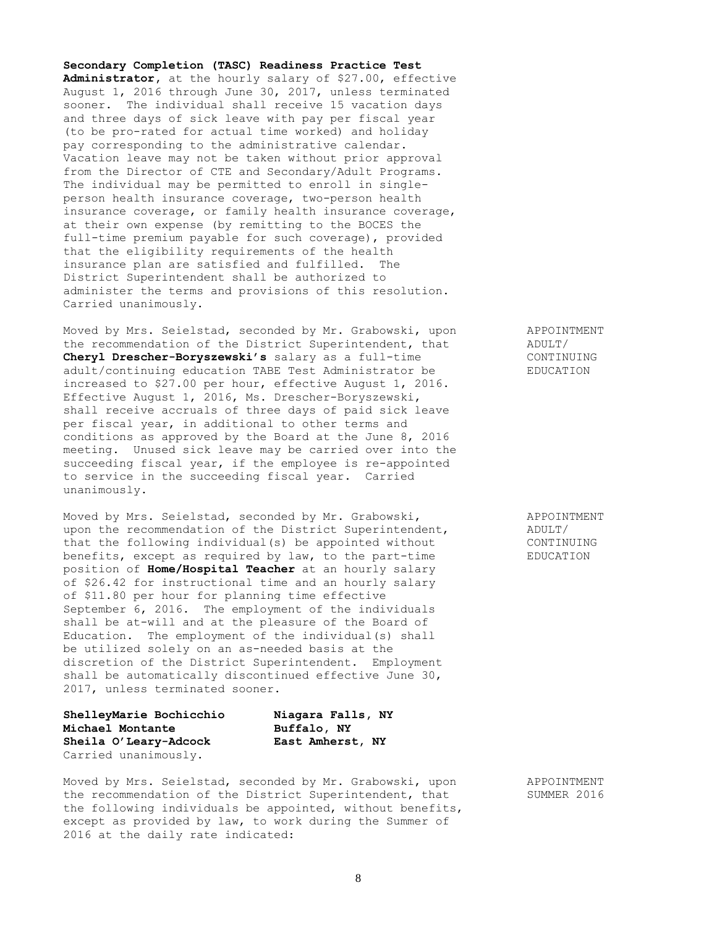8

**Secondary Completion (TASC) Readiness Practice Test Administrator,** at the hourly salary of \$27.00, effective August 1, 2016 through June 30, 2017, unless terminated sooner. The individual shall receive 15 vacation days and three days of sick leave with pay per fiscal year (to be pro-rated for actual time worked) and holiday pay corresponding to the administrative calendar. Vacation leave may not be taken without prior approval from the Director of CTE and Secondary/Adult Programs. The individual may be permitted to enroll in singleperson health insurance coverage, two-person health insurance coverage, or family health insurance coverage, at their own expense (by remitting to the BOCES the full-time premium payable for such coverage), provided that the eligibility requirements of the health insurance plan are satisfied and fulfilled. The District Superintendent shall be authorized to administer the terms and provisions of this resolution. Carried unanimously.

Moved by Mrs. Seielstad, seconded by Mr. Grabowski, upon APPOINTMENT the recommendation of the District Superintendent, that ADULT/ **Cheryl Drescher-Boryszewski's** salary as a full-time CONTINUING adult/continuing education TABE Test Administrator be EDUCATION increased to \$27.00 per hour, effective August 1, 2016. Effective August 1, 2016, Ms. Drescher-Boryszewski, shall receive accruals of three days of paid sick leave per fiscal year, in additional to other terms and conditions as approved by the Board at the June 8, 2016 meeting. Unused sick leave may be carried over into the succeeding fiscal year, if the employee is re-appointed to service in the succeeding fiscal year. Carried unanimously.

Moved by Mrs. Seielstad, seconded by Mr. Grabowski, APPOINTMENT upon the recommendation of the District Superintendent, ADULT/ that the following individual(s) be appointed without CONTINUING benefits, except as required by law, to the part-time EDUCATION position of **Home/Hospital Teacher** at an hourly salary of \$26.42 for instructional time and an hourly salary of \$11.80 per hour for planning time effective September 6, 2016. The employment of the individuals shall be at-will and at the pleasure of the Board of Education. The employment of the individual(s) shall be utilized solely on an as-needed basis at the discretion of the District Superintendent. Employment shall be automatically discontinued effective June 30, 2017, unless terminated sooner.

**ShelleyMarie Bochicchio Niagara Falls, NY Michael Montante Buffalo, NY Sheila O'Leary-Adcock East Amherst, NY** Carried unanimously.

Moved by Mrs. Seielstad, seconded by Mr. Grabowski, upon APPOINTMENT the recommendation of the District Superintendent, that SUMMER 2016 the following individuals be appointed, without benefits, except as provided by law, to work during the Summer of 2016 at the daily rate indicated: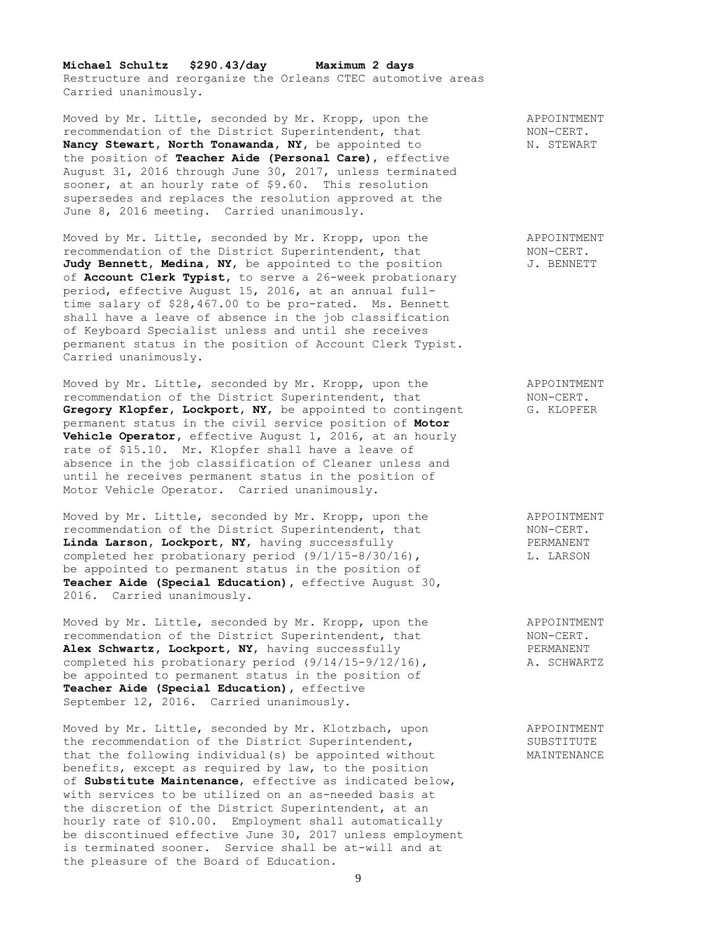**Michael Schultz \$290.43/day Maximum 2 days** Restructure and reorganize the Orleans CTEC automotive areas Carried unanimously.

Moved by Mr. Little, seconded by Mr. Kropp, upon the APPOINTMENT recommendation of the District Superintendent, that NON-CERT. **Nancy Stewart, North Tonawanda, NY, be appointed to M. STEWART** the position of **Teacher Aide (Personal Care)**, effective August 31, 2016 through June 30, 2017, unless terminated sooner, at an hourly rate of \$9.60. This resolution supersedes and replaces the resolution approved at the June 8, 2016 meeting. Carried unanimously.

Moved by Mr. Little, seconded by Mr. Kropp, upon the APPOINTMENT recommendation of the District Superintendent, that NON-CERT. Judy Bennett, Medina, NY, be appointed to the position J. BENNETT of **Account Clerk Typist,** to serve a 26-week probationary period, effective August 15, 2016, at an annual fulltime salary of \$28,467.00 to be pro-rated. Ms. Bennett shall have a leave of absence in the job classification of Keyboard Specialist unless and until she receives permanent status in the position of Account Clerk Typist. Carried unanimously.

Moved by Mr. Little, seconded by Mr. Kropp, upon the APPOINTMENT recommendation of the District Superintendent, that NON-CERT. **Gregory Klopfer, Lockport, NY,** be appointed to contingent G. KLOPFER permanent status in the civil service position of **Motor Vehicle Operator,** effective August 1, 2016, at an hourly rate of \$15.10. Mr. Klopfer shall have a leave of absence in the job classification of Cleaner unless and until he receives permanent status in the position of Motor Vehicle Operator. Carried unanimously.

Moved by Mr. Little, seconded by Mr. Kropp, upon the APPOINTMENT recommendation of the District Superintendent, that NON-CERT. Linda Larson, Lockport, NY, having successfully PERMANENT completed her probationary period (9/1/15-8/30/16), L. LARSON be appointed to permanent status in the position of **Teacher Aide (Special Education),** effective August 30, 2016. Carried unanimously.

Moved by Mr. Little, seconded by Mr. Kropp, upon the  $\overline{APPOINTMENT}$ <br>recommendation of the District Superintendent, that  $\overline{NON-CERT}$ . recommendation of the District Superintendent, that<br> **Alex Schwartz, Lockport, NY,** having successfully FERMANENT Alex Schwartz, Lockport, NY, having successfully PERMANENT completed his probationary period (9/14/15-9/12/16), A. SCHWARTZ completed his probationary period  $(9/14/15-9/12/16)$ , be appointed to permanent status in the position of **Teacher Aide (Special Education),** effective September 12, 2016. Carried unanimously.

Moved by Mr. Little, seconded by Mr. Klotzbach, upon APPOINTMENT the recommendation of the District Superintendent, SUBSTITUTE that the following individual(s) be appointed without MAINTENANCE benefits, except as required by law, to the position of **Substitute Maintenance**, effective as indicated below, with services to be utilized on an as-needed basis at the discretion of the District Superintendent, at an hourly rate of \$10.00. Employment shall automatically be discontinued effective June 30, 2017 unless employment is terminated sooner. Service shall be at-will and at the pleasure of the Board of Education.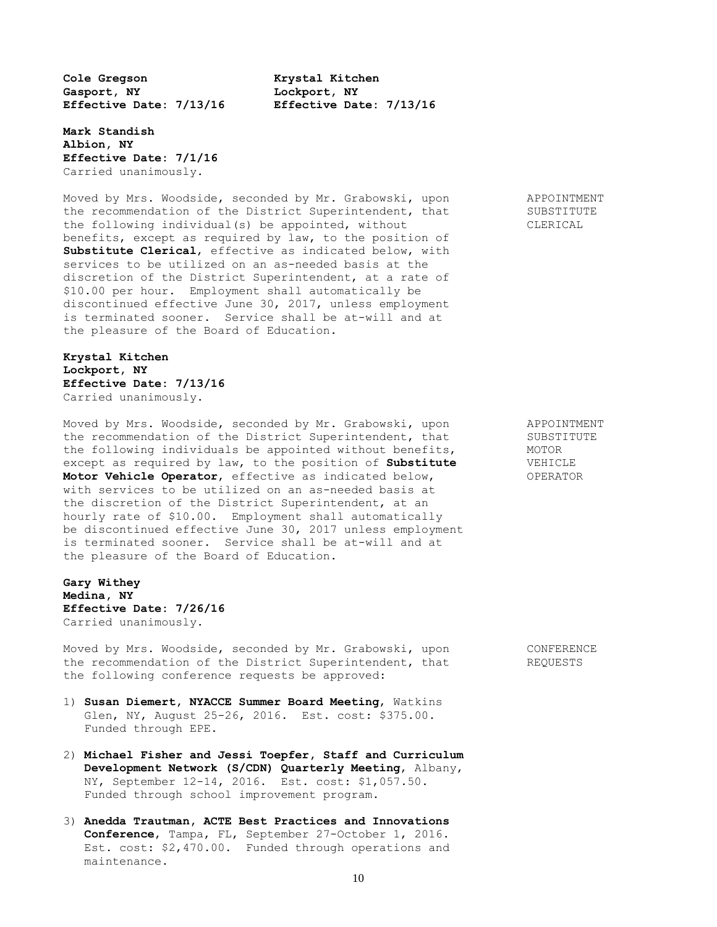**Cole Gregson Krystal Kitchen Gasport, NY Lockport, NY Effective Date: 7/13/16 Effective Date: 7/13/16**

**Mark Standish Albion, NY Effective Date: 7/1/16** Carried unanimously.

Moved by Mrs. Woodside, seconded by Mr. Grabowski, upon APPOINTMENT the recommendation of the District Superintendent, that SUBSTITUTE the following individual(s) be appointed, without CLERICAL benefits, except as required by law, to the position of **Substitute Clerical**, effective as indicated below, with services to be utilized on an as-needed basis at the discretion of the District Superintendent, at a rate of \$10.00 per hour. Employment shall automatically be discontinued effective June 30, 2017, unless employment is terminated sooner. Service shall be at-will and at the pleasure of the Board of Education.

**Krystal Kitchen Lockport, NY Effective Date: 7/13/16** Carried unanimously.

Moved by Mrs. Woodside, seconded by Mr. Grabowski, upon APPOINTMENT the recommendation of the District Superintendent, that SUBSTITUTE the following individuals be appointed without benefits, MOTOR except as required by law, to the position of **Substitute** VEHICLE except as required by law, to the position of **Substitute Motor Vehicle Operator**, effective as indicated below, OPERATOR with services to be utilized on an as-needed basis at the discretion of the District Superintendent, at an hourly rate of \$10.00. Employment shall automatically be discontinued effective June 30, 2017 unless employment is terminated sooner. Service shall be at-will and at the pleasure of the Board of Education.

**Gary Withey Medina, NY Effective Date: 7/26/16** Carried unanimously.

Moved by Mrs. Woodside, seconded by Mr. Grabowski, upon CONFERENCE the recommendation of the District Superintendent, that REQUESTS the following conference requests be approved:

- 1) **Susan Diemert, NYACCE Summer Board Meeting**, Watkins Glen, NY, August 25-26, 2016. Est. cost: \$375.00. Funded through EPE.
- 2) **Michael Fisher and Jessi Toepfer, Staff and Curriculum Development Network (S/CDN) Quarterly Meeting**, Albany, NY, September 12-14, 2016. Est. cost: \$1,057.50. Funded through school improvement program.
- 3) **Anedda Trautman, ACTE Best Practices and Innovations Conference**, Tampa, FL, September 27-October 1, 2016. Est. cost: \$2,470.00. Funded through operations and maintenance.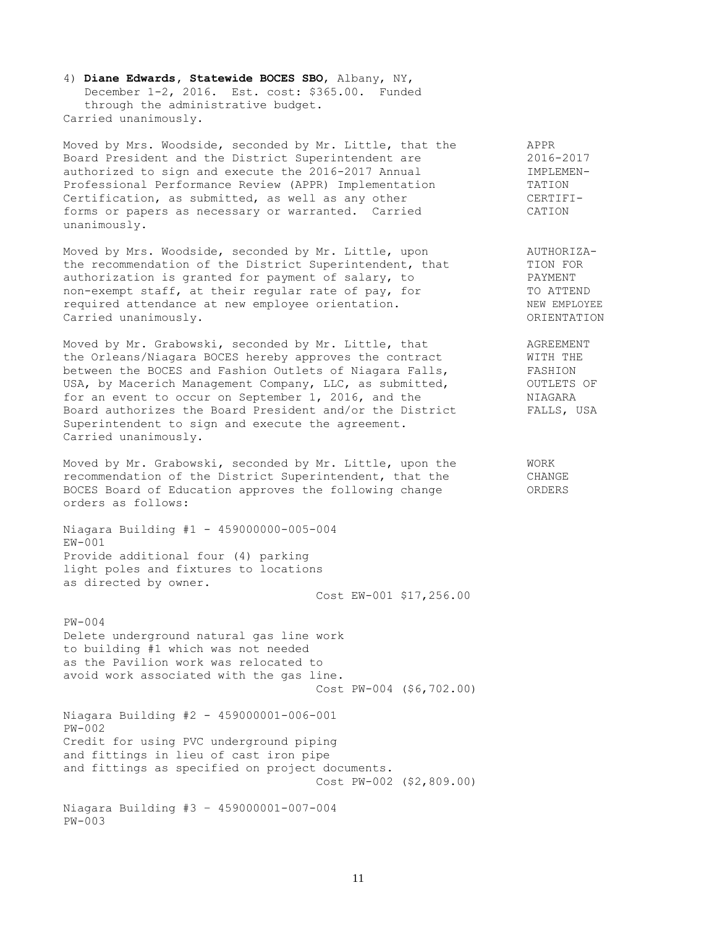4) **Diane Edwards, Statewide BOCES SBO**, Albany, NY, December 1-2, 2016. Est. cost: \$365.00. Funded through the administrative budget. Carried unanimously.

Moved by Mrs. Woodside, seconded by Mr. Little, that the APPR Board President and the District Superintendent are 2016-2017 authorized to sign and execute the 2016-2017 Annual **IMPLEMEN-**Professional Performance Review (APPR) Implementation TATION TATION Certification, as submitted, as well as any other The CERTIFIforms or papers as necessary or warranted. Carried CATION unanimously.

Moved by Mrs. Woodside, seconded by Mr. Little, upon AUTHORIZAmoved by Mrs. Woodside, seconded by Mr. Little, upon<br>the recommendation of the District Superintendent, that TION FOR<br>authorization is granted for payment of salary, to PAYMENT authorization is granted for payment of salary, to PAYMENT non-exempt staff, at their regular rate of pay, for TO ATTEND required attendance at new employee orientation. NEW EMPLOYEE Carried unanimously. ORIENTATION

Moved by Mr. Grabowski, seconded by Mr. Little, that AGREEMENT the Orleans/Niagara BOCES hereby approves the contract WITH THE between the BOCES and Fashion Outlets of Niagara Falls, FASHION USA, by Macerich Management Company, LLC, as submitted,  $OUTLETS OF$ for an event to occur on September 1, 2016, and the  $NIASARA$ Board authorizes the Board President and/or the District FALLS, USA Superintendent to sign and execute the agreement. Carried unanimously.

Moved by Mr. Grabowski, seconded by Mr. Little, upon the WORK recommendation of the District Superintendent, that the CHANGE BOCES Board of Education approves the following change ORDERS orders as follows:

Niagara Building #1 - 459000000-005-004  $EM-001$ Provide additional four (4) parking light poles and fixtures to locations as directed by owner.

Cost EW-001 \$17,256.00

PW-004 Delete underground natural gas line work to building #1 which was not needed as the Pavilion work was relocated to avoid work associated with the gas line. Cost PW-004 (\$6,702.00)

Niagara Building #2 - 459000001-006-001 PW-002 Credit for using PVC underground piping and fittings in lieu of cast iron pipe and fittings as specified on project documents. Cost PW-002 (\$2,809.00)

Niagara Building #3 – 459000001-007-004 PW-003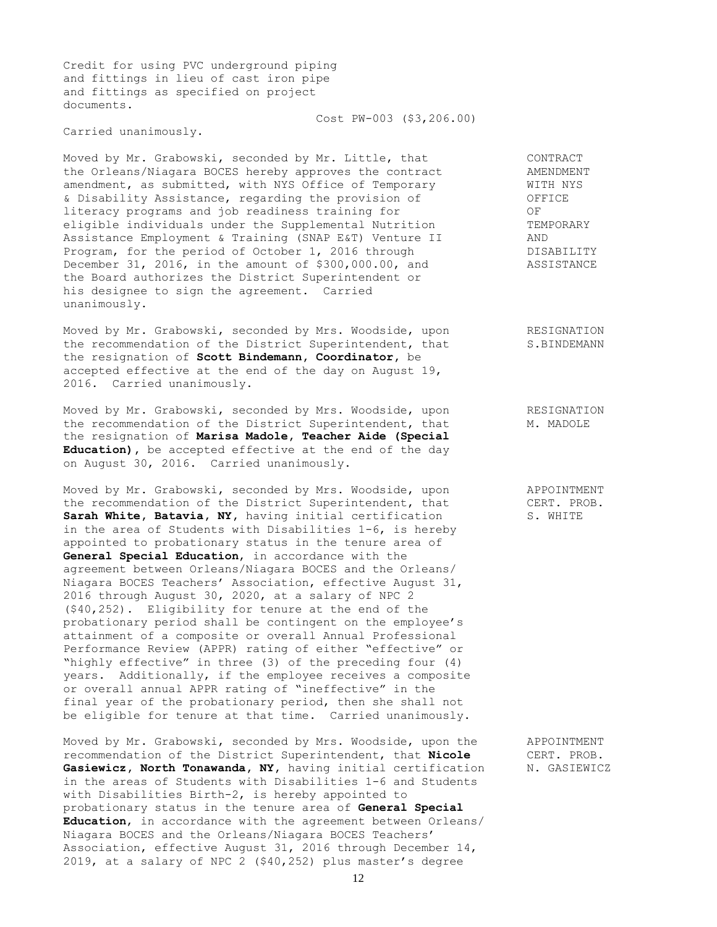Credit for using PVC underground piping and fittings in lieu of cast iron pipe and fittings as specified on project documents.

Carried unanimously.

Moved by Mr. Grabowski, seconded by Mr. Little, that CONTRACT the Orleans/Niagara BOCES hereby approves the contract AMENDMENT amendment, as submitted, with NYS Office of Temporary WITH NYS & Disability Assistance, regarding the provision of OFFICE literacy programs and job readiness training for OF eligible individuals under the Supplemental Nutrition TEMPORARY Assistance Employment & Training (SNAP E&T) Venture II AND Program, for the period of October 1, 2016 through DISABILITY December 31, 2016, in the amount of \$300,000.00, and ASSISTANCE the Board authorizes the District Superintendent or his designee to sign the agreement. Carried unanimously.

Cost PW-003 (\$3,206.00)

Moved by Mr. Grabowski, seconded by Mrs. Woodside, upon RESIGNATION the recommendation of the District Superintendent, that S.BINDEMANN the resignation of **Scott Bindemann, Coordinator,** be accepted effective at the end of the day on August 19, 2016. Carried unanimously.

Moved by Mr. Grabowski, seconded by Mrs. Woodside, upon RESIGNATION the recommendation of the District Superintendent, that M. MADOLE the resignation of **Marisa Madole, Teacher Aide (Special Education),** be accepted effective at the end of the day on August 30, 2016. Carried unanimously.

Moved by Mr. Grabowski, seconded by Mrs. Woodside, upon APPOINTMENT the recommendation of the District Superintendent, that CERT. PROB. **Sarah White, Batavia, NY, having initial certification S. WHITE** in the area of Students with Disabilities 1-6, is hereby appointed to probationary status in the tenure area of **General Special Education**, in accordance with the agreement between Orleans/Niagara BOCES and the Orleans/ Niagara BOCES Teachers' Association, effective August 31, 2016 through August 30, 2020, at a salary of NPC 2 (\$40,252). Eligibility for tenure at the end of the probationary period shall be contingent on the employee's attainment of a composite or overall Annual Professional Performance Review (APPR) rating of either "effective" or "highly effective" in three (3) of the preceding four (4) years. Additionally, if the employee receives a composite or overall annual APPR rating of "ineffective" in the final year of the probationary period, then she shall not be eligible for tenure at that time. Carried unanimously.

Moved by Mr. Grabowski, seconded by Mrs. Woodside, upon the APPOINTMENT recommendation of the District Superintendent, that **Nicole** CERT. PROB. recommendation of the District Superintendent, that **Nicole** Gasiewicz, North Tonawanda, NY, having initial certification N. GASIEWICZ in the areas of Students with Disabilities 1-6 and Students with Disabilities Birth-2, is hereby appointed to probationary status in the tenure area of **General Special Education**, in accordance with the agreement between Orleans/ Niagara BOCES and the Orleans/Niagara BOCES Teachers' Association, effective August 31, 2016 through December 14, 2019, at a salary of NPC 2 (\$40,252) plus master's degree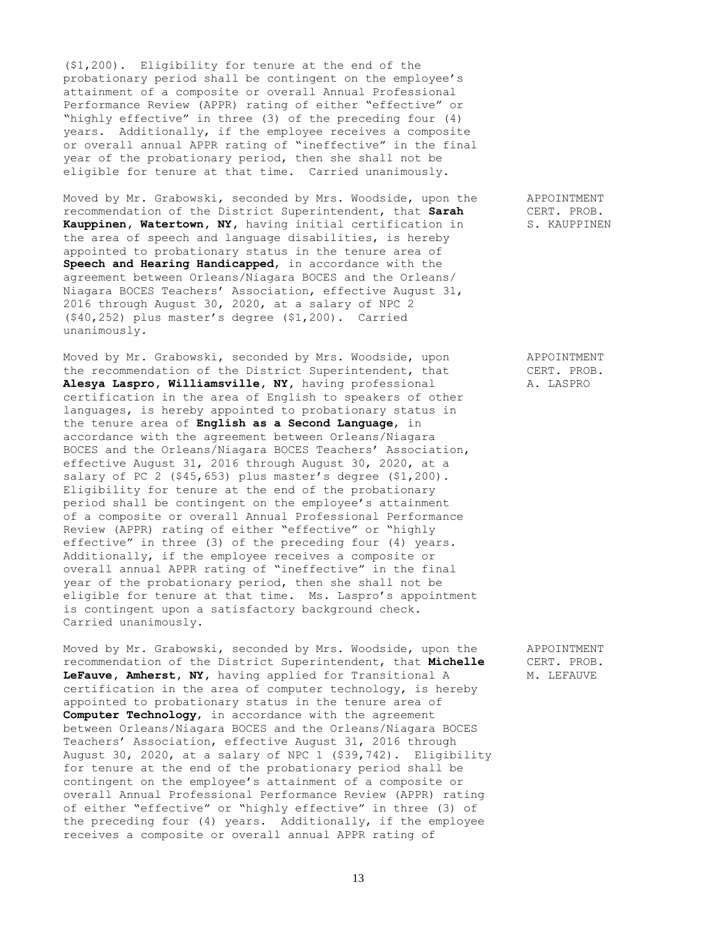(\$1,200). Eligibility for tenure at the end of the probationary period shall be contingent on the employee's attainment of a composite or overall Annual Professional Performance Review (APPR) rating of either "effective" or "highly effective" in three (3) of the preceding four (4) years. Additionally, if the employee receives a composite or overall annual APPR rating of "ineffective" in the final year of the probationary period, then she shall not be eligible for tenure at that time. Carried unanimously.

Moved by Mr. Grabowski, seconded by Mrs. Woodside, upon the APPOINTMENT recommendation of the District Superintendent, that **Sarah** CERT. PROB. **Kauppinen, Watertown, NY,** having initial certification in S. KAUPPINEN the area of speech and language disabilities, is hereby appointed to probationary status in the tenure area of **Speech and Hearing Handicapped**, in accordance with the agreement between Orleans/Niagara BOCES and the Orleans/ Niagara BOCES Teachers' Association, effective August 31, 2016 through August 30, 2020, at a salary of NPC 2 (\$40,252) plus master's degree (\$1,200). Carried unanimously.

Moved by Mr. Grabowski, seconded by Mrs. Woodside, upon APPOINTMENT the recommendation of the District Superintendent, that CERT. PROB. Alesya Laspro, Williamsville, NY, having professional A. LASPRO certification in the area of English to speakers of other languages, is hereby appointed to probationary status in the tenure area of **English as a Second Language**, in accordance with the agreement between Orleans/Niagara BOCES and the Orleans/Niagara BOCES Teachers' Association, effective August 31, 2016 through August 30, 2020, at a salary of PC 2 (\$45,653) plus master's degree (\$1,200). Eligibility for tenure at the end of the probationary period shall be contingent on the employee's attainment of a composite or overall Annual Professional Performance Review (APPR) rating of either "effective" or "highly effective" in three (3) of the preceding four (4) years. Additionally, if the employee receives a composite or overall annual APPR rating of "ineffective" in the final year of the probationary period, then she shall not be eligible for tenure at that time. Ms. Laspro's appointment is contingent upon a satisfactory background check. Carried unanimously.

Moved by Mr. Grabowski, seconded by Mrs. Woodside, upon the APPOINTMENT recommendation of the District Superintendent, that **Michelle** CERT. PROB. LeFauve, Amherst, NY, having applied for Transitional A M. LEFAUVE certification in the area of computer technology, is hereby appointed to probationary status in the tenure area of **Computer Technology**, in accordance with the agreement between Orleans/Niagara BOCES and the Orleans/Niagara BOCES Teachers' Association, effective August 31, 2016 through August 30, 2020, at a salary of NPC 1 (\$39,742). Eligibility for tenure at the end of the probationary period shall be contingent on the employee's attainment of a composite or overall Annual Professional Performance Review (APPR) rating of either "effective" or "highly effective" in three (3) of the preceding four (4) years. Additionally, if the employee receives a composite or overall annual APPR rating of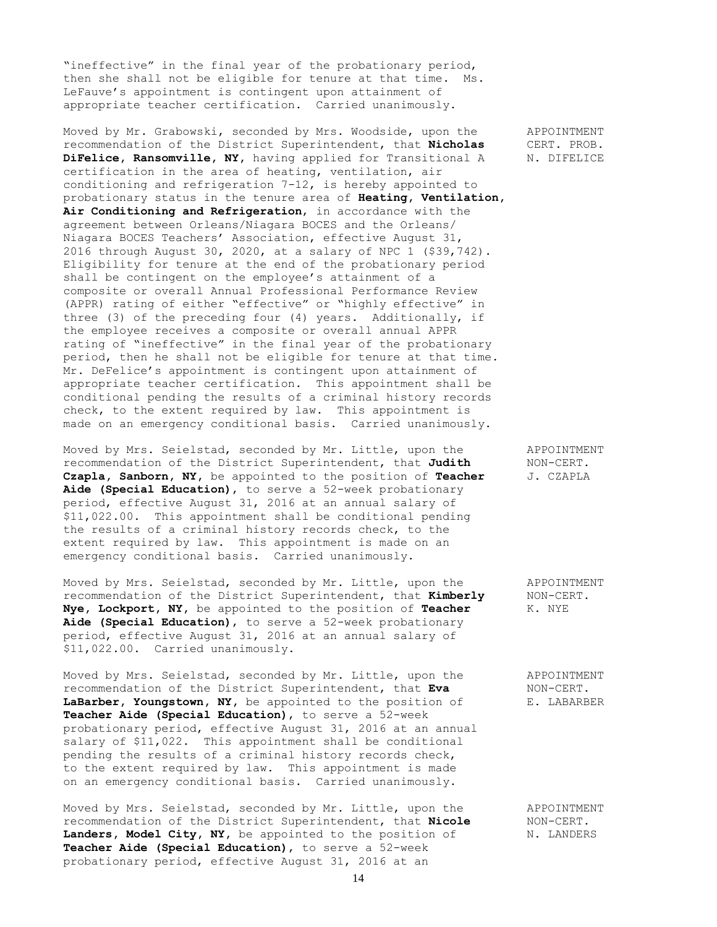"ineffective" in the final year of the probationary period, then she shall not be eligible for tenure at that time. Ms. LeFauve's appointment is contingent upon attainment of appropriate teacher certification. Carried unanimously.

Moved by Mr. Grabowski, seconded by Mrs. Woodside, upon the APPOINTMENT recommendation of the District Superintendent, that **Nicholas** CERT. PROB. **DiFelice, Ransomville, NY,** having applied for Transitional A N. DIFELICE certification in the area of heating, ventilation, air conditioning and refrigeration 7-12, is hereby appointed to probationary status in the tenure area of **Heating, Ventilation, Air Conditioning and Refrigeration**, in accordance with the agreement between Orleans/Niagara BOCES and the Orleans/ Niagara BOCES Teachers' Association, effective August 31, 2016 through August 30, 2020, at a salary of NPC 1 (\$39,742). Eligibility for tenure at the end of the probationary period shall be contingent on the employee's attainment of a composite or overall Annual Professional Performance Review (APPR) rating of either "effective" or "highly effective" in three (3) of the preceding four (4) years. Additionally, if the employee receives a composite or overall annual APPR rating of "ineffective" in the final year of the probationary period, then he shall not be eligible for tenure at that time. Mr. DeFelice's appointment is contingent upon attainment of appropriate teacher certification. This appointment shall be conditional pending the results of a criminal history records check, to the extent required by law. This appointment is made on an emergency conditional basis. Carried unanimously.

Moved by Mrs. Seielstad, seconded by Mr. Little, upon the APPOINTMENT recommendation of the District Superintendent, that Judith MON-CERT. recommendation of the District Superintendent, that Judith **Czapla, Sanborn, NY,** be appointed to the position of **Teacher** J. CZAPLA **Aide (Special Education)**, to serve a 52-week probationary period, effective August 31, 2016 at an annual salary of \$11,022.00. This appointment shall be conditional pending the results of a criminal history records check, to the extent required by law. This appointment is made on an emergency conditional basis. Carried unanimously.

Moved by Mrs. Seielstad, seconded by Mr. Little, upon the APPOINTMENT recommendation of the District Superintendent, that **Kimberly** NON-CERT. **Nye, Lockport, NY,** be appointed to the position of **Teacher** K. NYE **Aide (Special Education)**, to serve a 52-week probationary period, effective August 31, 2016 at an annual salary of \$11,022.00. Carried unanimously.

Moved by Mrs. Seielstad, seconded by Mr. Little, upon the APPOINTMENT recommendation of the District Superintendent, that **Eva** NON-CERT. **LaBarber, Youngstown, NY,** be appointed to the position of E. LABARBER **Teacher Aide (Special Education)**, to serve a 52-week probationary period, effective August 31, 2016 at an annual salary of \$11,022. This appointment shall be conditional pending the results of a criminal history records check, to the extent required by law. This appointment is made on an emergency conditional basis. Carried unanimously.

Moved by Mrs. Seielstad, seconded by Mr. Little, upon the APPOINTMENT recommendation of the District Superintendent, that **Nicole** NON-CERT. Landers, Model City, NY, be appointed to the position of N. LANDERS **Teacher Aide (Special Education)**, to serve a 52-week probationary period, effective August 31, 2016 at an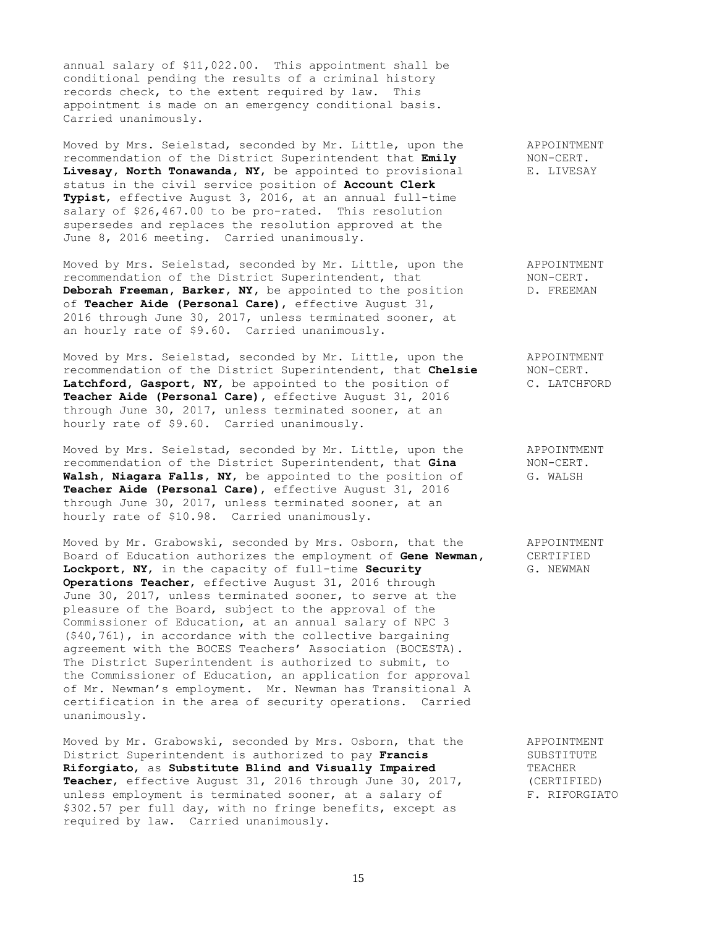annual salary of \$11,022.00. This appointment shall be conditional pending the results of a criminal history records check, to the extent required by law. This appointment is made on an emergency conditional basis. Carried unanimously.

Moved by Mrs. Seielstad, seconded by Mr. Little, upon the APPOINTMENT recommendation of the District Superintendent that **Emily** NON-CERT. **Livesay, North Tonawanda, NY**, be appointed to provisional E. LIVESAY status in the civil service position of **Account Clerk Typist**, effective August 3, 2016, at an annual full-time salary of \$26,467.00 to be pro-rated. This resolution supersedes and replaces the resolution approved at the June 8, 2016 meeting. Carried unanimously.

Moved by Mrs. Seielstad, seconded by Mr. Little, upon the APPOINTMENT<br>recommendation of the District Superintendent, that MON-CERT. recommendation of the District Superintendent, that MON-CERT.<br> **Deborah Freeman, Barker, NY,** be appointed to the position D. FREEMAN Deborah Freeman, Barker, NY, be appointed to the position of **Teacher Aide (Personal Care)**, effective August 31, 2016 through June 30, 2017, unless terminated sooner, at an hourly rate of \$9.60. Carried unanimously.

Moved by Mrs. Seielstad, seconded by Mr. Little, upon the APPOINTMENT recommendation of the District Superintendent, that **Chelsie** NON-CERT. Latchford, Gasport, NY, be appointed to the position of C. LATCHFORD **Teacher Aide (Personal Care),** effective August 31, 2016 through June 30, 2017, unless terminated sooner, at an hourly rate of \$9.60. Carried unanimously.

Moved by Mrs. Seielstad, seconded by Mr. Little, upon the APPOINTMENT recommendation of the District Superintendent, that **Gina** NON-CERT. recommendation of the District Superintendent, that **Gina** NON-CERT<br>**Walsh, Niagara Falls, NY,** be appointed to the position of G. WALSH Walsh, Niagara Falls, NY, be appointed to the position of **Teacher Aide (Personal Care)**, effective August 31, 2016 through June 30, 2017, unless terminated sooner, at an hourly rate of \$10.98. Carried unanimously.

Moved by Mr. Grabowski, seconded by Mrs. Osborn, that the APPOINTMENT Board of Education authorizes the employment of **Gene Newman,** CERTIFIED Lockport, NY, in the capacity of full-time **Security G. NEWMAN Operations Teacher**, effective August 31, 2016 through June 30, 2017, unless terminated sooner, to serve at the pleasure of the Board, subject to the approval of the Commissioner of Education, at an annual salary of NPC 3 (\$40,761), in accordance with the collective bargaining agreement with the BOCES Teachers' Association (BOCESTA). The District Superintendent is authorized to submit, to the Commissioner of Education, an application for approval of Mr. Newman's employment. Mr. Newman has Transitional A certification in the area of security operations. Carried unanimously.

Moved by Mr. Grabowski, seconded by Mrs. Osborn, that the APPOINTMENT District Superintendent is authorized to pay **Francis** 3UBSTITUTE **Riforgiato**, as **Substitute Blind and Visually Impaired** TEACHER **Teacher,** effective August 31, 2016 through June 30, 2017, (CERTIFIED)<br>unless employment is terminated sooner, at a salary of F. RIFORGIATO unless employment is terminated sooner, at a salary of \$302.57 per full day, with no fringe benefits, except as required by law. Carried unanimously.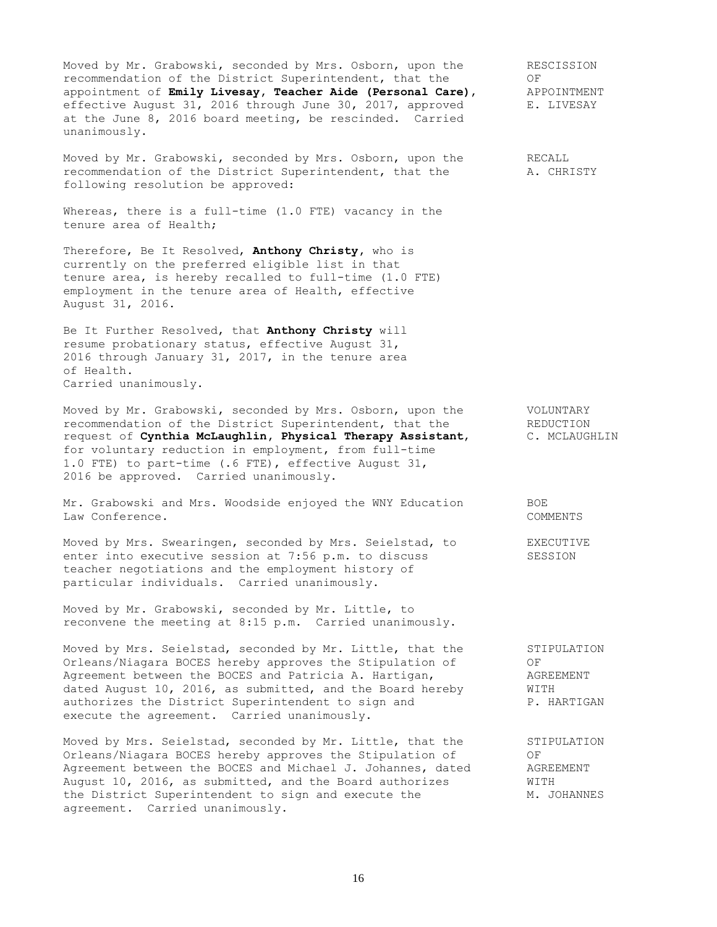Moved by Mr. Grabowski, seconded by Mrs. Osborn, upon the RESCISSION recommendation of the District Superintendent, that the OF OF appointment of **Emily Livesay, Teacher Aide (Personal Care)**, APPOINTMENT appointment of **Emily Livesay, Teacher Aide (Personal Care),** APPOINTMENT<br>effective August 31, 2016 through June 30, 2017, approved E. LIVESAY effective August 31, 2016 through June 30, 2017, approved at the June 8, 2016 board meeting, be rescinded. Carried unanimously.

Moved by Mr. Grabowski, seconded by Mrs. Osborn, upon the RECALL recommendation of the District Superintendent, that the A. CHRISTY following resolution be approved:

Whereas, there is a full-time (1.0 FTE) vacancy in the tenure area of Health;

Therefore, Be It Resolved, **Anthony Christy,** who is currently on the preferred eligible list in that tenure area, is hereby recalled to full-time (1.0 FTE) employment in the tenure area of Health, effective August 31, 2016.

Be It Further Resolved, that **Anthony Christy** will resume probationary status, effective August 31, 2016 through January 31, 2017, in the tenure area of Health. Carried unanimously.

Moved by Mr. Grabowski, seconded by Mrs. Osborn, upon the VOLUNTARY recommendation of the District Superintendent, that the REDUCTION request of **Cynthia McLaughlin, Physical Therapy Assistant**, C. MCLAUGHLIN for voluntary reduction in employment, from full-time 1.0 FTE) to part-time (.6 FTE), effective August 31, 2016 be approved. Carried unanimously.

Mr. Grabowski and Mrs. Woodside enjoyed the WNY Education BOE Law Conference. COMMENTS

Moved by Mrs. Swearingen, seconded by Mrs. Seielstad, to EXECUTIVE enter into executive session at 7:56 p.m. to discuss SESSION teacher negotiations and the employment history of particular individuals. Carried unanimously.

Moved by Mr. Grabowski, seconded by Mr. Little, to reconvene the meeting at 8:15 p.m. Carried unanimously.

Moved by Mrs. Seielstad, seconded by Mr. Little, that the STIPULATION Orleans/Niagara BOCES hereby approves the Stipulation of GPC OF<br>Agreement between the BOCES and Patricia A. Hartigan, SGREEMENT Agreement between the BOCES and Patricia A. Hartigan, dated August 10, 2016, as submitted, and the Board hereby WITH authorizes the District Superintendent to sign and P. HARTIGAN execute the agreement. Carried unanimously.

Moved by Mrs. Seielstad, seconded by Mr. Little, that the STIPULATION Orleans/Niagara BOCES hereby approves the Stipulation of GPC OF<br>Agreement between the BOCES and Michael J. Johannes, dated AGREEMENT Agreement between the BOCES and Michael J. Johannes, dated August 10, 2016, as submitted, and the Board authorizes WITH the District Superintendent to sign and execute the M. JOHANNES agreement. Carried unanimously.